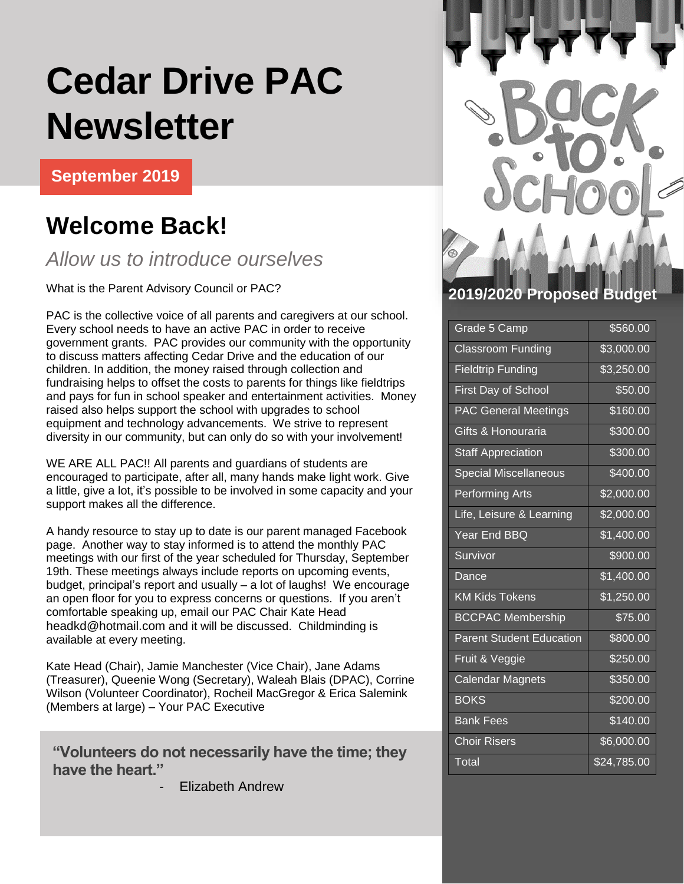## **Cedar Drive PAC Newsletter**

**September 2019**

## **Welcome Back!**

### *Allow us to introduce ourselves*

What is the Parent Advisory Council or PAC?

PAC is the collective voice of all parents and caregivers at our school. Every school needs to have an active PAC in order to receive government grants. PAC provides our community with the opportunity to discuss matters affecting Cedar Drive and the education of our children. In addition, the money raised through collection and fundraising helps to offset the costs to parents for things like fieldtrips and pays for fun in school speaker and entertainment activities. Money raised also helps support the school with upgrades to school equipment and technology advancements. We strive to represent diversity in our community, but can only do so with your involvement!

WE ARE ALL PAC!! All parents and guardians of students are encouraged to participate, after all, many hands make light work. Give a little, give a lot, it's possible to be involved in some capacity and your support makes all the difference.

A handy resource to stay up to date is our parent managed Facebook page. Another way to stay informed is to attend the monthly PAC meetings with our first of the year scheduled for Thursday, September 19th. These meetings always include reports on upcoming events, budget, principal's report and usually – a lot of laughs! We encourage an open floor for you to express concerns or questions. If you aren't comfortable speaking up, email our PAC Chair Kate Head [headkd@hotmail.com](mailto:headkd@hotmail.com) and it will be discussed. Childminding is available at every meeting.

Kate Head (Chair), Jamie Manchester (Vice Chair), Jane Adams (Treasurer), Queenie Wong (Secretary), Waleah Blais (DPAC), Corrine Wilson (Volunteer Coordinator), Rocheil MacGregor & Erica Salemink (Members at large) – Your PAC Executive

"Volunteers do not necessarily have the time; they **have the heart."**

Elizabeth Andrew



### **2019/2020 Proposed**

| Grade 5 Camp                    | \$560.00           |
|---------------------------------|--------------------|
| <b>Classroom Funding</b>        | \$3,000.00         |
| <b>Fieldtrip Funding</b>        | \$3,250.00         |
| <b>First Day of School</b>      | \$50.00            |
| <b>PAC General Meetings</b>     | \$160.00           |
| Gifts & Honouraria              | \$300.00           |
| <b>Staff Appreciation</b>       | \$300.00           |
| <b>Special Miscellaneous</b>    | \$400.00           |
| <b>Performing Arts</b>          | \$2,000.00         |
| Life, Leisure & Learning        | \$2,000.00         |
| Year End BBQ                    | \$1,400.00         |
| Survivor                        | \$900.00           |
| Dance                           | \$1,400.00         |
| <b>KM Kids Tokens</b>           | \$1,250.00         |
| <b>BCCPAC Membership</b>        | \$75.00            |
| <b>Parent Student Education</b> | \$800.00           |
| Fruit & Veggie                  | \$250.00           |
| <b>Calendar Magnets</b>         | \$350.00           |
| <b>BOKS</b>                     | \$200.00           |
| <b>Bank Fees</b>                | \$140.00           |
| <b>Choir Risers</b>             | \$6,000.00         |
| Total                           | $\sqrt{24,785.00}$ |